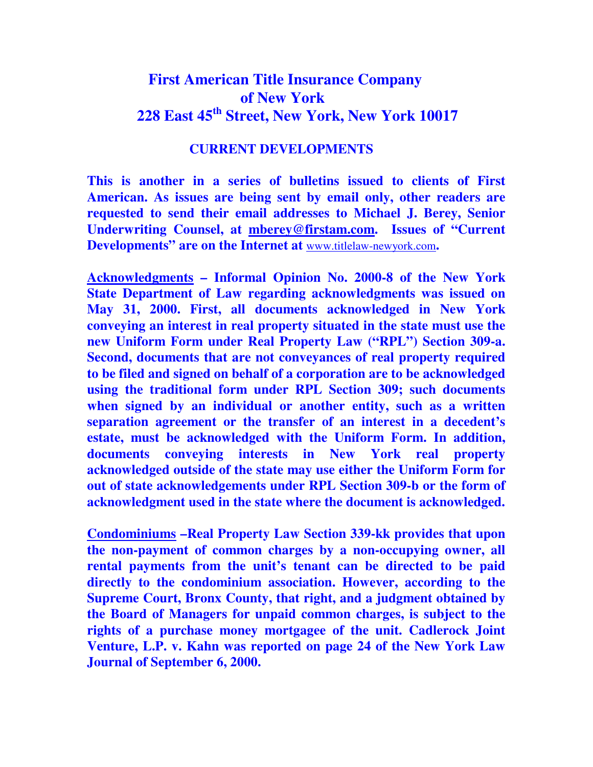## **First American Title Insurance Company of New York 228 East 45th Street, New York, New York 10017**

## **CURRENT DEVELOPMENTS**

**This is another in a series of bulletins issued to clients of First American. As issues are being sent by email only, other readers are requested to send their email addresses to Michael J. Berey, Senior Underwriting Counsel, at mberey@firstam.com. Issues of "Current Developments" are on the Internet at** www.titlelaw-newyork.com**.** 

**Acknowledgments – Informal Opinion No. 2000-8 of the New York State Department of Law regarding acknowledgments was issued on May 31, 2000. First, all documents acknowledged in New York conveying an interest in real property situated in the state must use the new Uniform Form under Real Property Law ("RPL") Section 309-a. Second, documents that are not conveyances of real property required to be filed and signed on behalf of a corporation are to be acknowledged using the traditional form under RPL Section 309; such documents when signed by an individual or another entity, such as a written separation agreement or the transfer of an interest in a decedent's estate, must be acknowledged with the Uniform Form. In addition, documents conveying interests in New York real property acknowledged outside of the state may use either the Uniform Form for out of state acknowledgements under RPL Section 309-b or the form of acknowledgment used in the state where the document is acknowledged.** 

**Condominiums –Real Property Law Section 339-kk provides that upon the non-payment of common charges by a non-occupying owner, all rental payments from the unit's tenant can be directed to be paid directly to the condominium association. However, according to the Supreme Court, Bronx County, that right, and a judgment obtained by the Board of Managers for unpaid common charges, is subject to the rights of a purchase money mortgagee of the unit. Cadlerock Joint Venture, L.P. v. Kahn was reported on page 24 of the New York Law Journal of September 6, 2000.**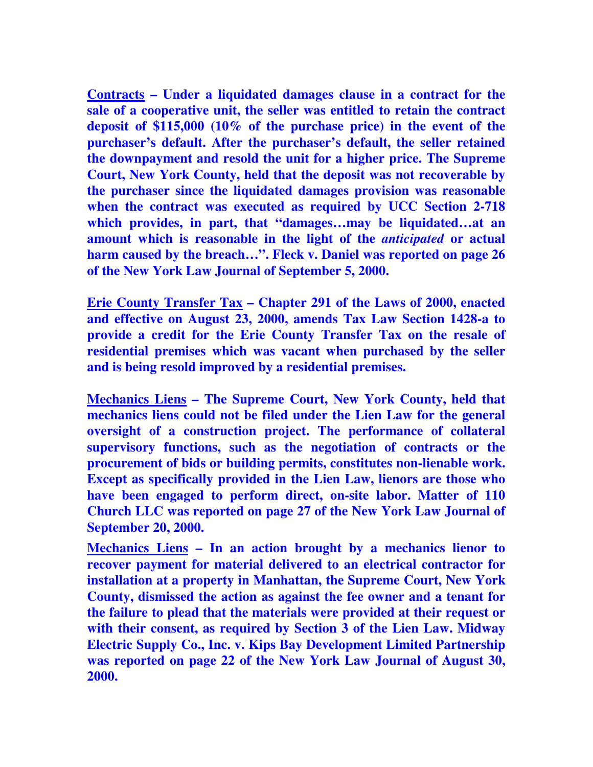**Contracts – Under a liquidated damages clause in a contract for the sale of a cooperative unit, the seller was entitled to retain the contract deposit of \$115,000 (10% of the purchase price) in the event of the purchaser's default. After the purchaser's default, the seller retained the downpayment and resold the unit for a higher price. The Supreme Court, New York County, held that the deposit was not recoverable by the purchaser since the liquidated damages provision was reasonable when the contract was executed as required by UCC Section 2-718 which provides, in part, that "damages…may be liquidated…at an amount which is reasonable in the light of the** *anticipated* **or actual harm caused by the breach…". Fleck v. Daniel was reported on page 26 of the New York Law Journal of September 5, 2000.** 

**Erie County Transfer Tax – Chapter 291 of the Laws of 2000, enacted and effective on August 23, 2000, amends Tax Law Section 1428-a to provide a credit for the Erie County Transfer Tax on the resale of residential premises which was vacant when purchased by the seller and is being resold improved by a residential premises.** 

**Mechanics Liens – The Supreme Court, New York County, held that mechanics liens could not be filed under the Lien Law for the general oversight of a construction project. The performance of collateral supervisory functions, such as the negotiation of contracts or the procurement of bids or building permits, constitutes non-lienable work. Except as specifically provided in the Lien Law, lienors are those who have been engaged to perform direct, on-site labor. Matter of 110 Church LLC was reported on page 27 of the New York Law Journal of September 20, 2000.** 

**Mechanics Liens – In an action brought by a mechanics lienor to recover payment for material delivered to an electrical contractor for installation at a property in Manhattan, the Supreme Court, New York County, dismissed the action as against the fee owner and a tenant for the failure to plead that the materials were provided at their request or with their consent, as required by Section 3 of the Lien Law. Midway Electric Supply Co., Inc. v. Kips Bay Development Limited Partnership was reported on page 22 of the New York Law Journal of August 30, 2000.**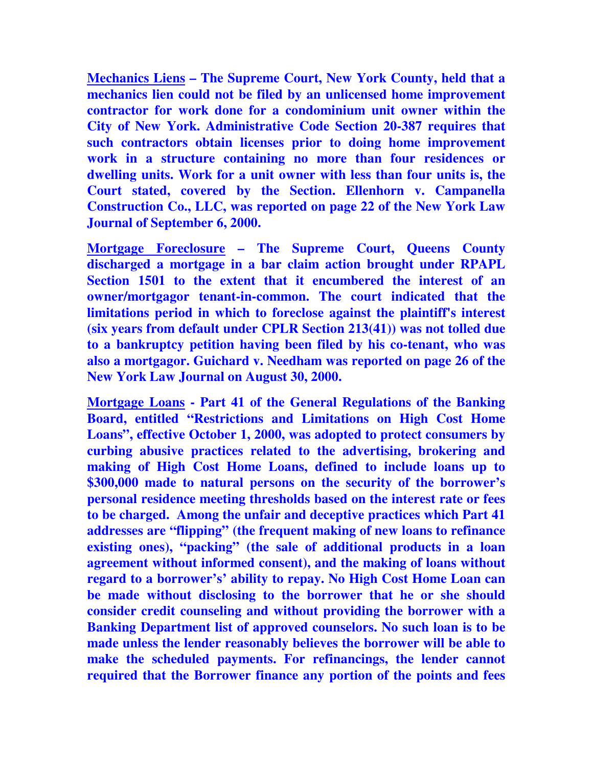**Mechanics Liens – The Supreme Court, New York County, held that a mechanics lien could not be filed by an unlicensed home improvement contractor for work done for a condominium unit owner within the City of New York. Administrative Code Section 20-387 requires that such contractors obtain licenses prior to doing home improvement work in a structure containing no more than four residences or dwelling units. Work for a unit owner with less than four units is, the Court stated, covered by the Section. Ellenhorn v. Campanella Construction Co., LLC, was reported on page 22 of the New York Law Journal of September 6, 2000.** 

**Mortgage Foreclosure – The Supreme Court, Queens County discharged a mortgage in a bar claim action brought under RPAPL Section 1501 to the extent that it encumbered the interest of an owner/mortgagor tenant-in-common. The court indicated that the limitations period in which to foreclose against the plaintiff's interest (six years from default under CPLR Section 213(41)) was not tolled due to a bankruptcy petition having been filed by his co-tenant, who was also a mortgagor. Guichard v. Needham was reported on page 26 of the New York Law Journal on August 30, 2000.** 

**Mortgage Loans - Part 41 of the General Regulations of the Banking Board, entitled "Restrictions and Limitations on High Cost Home Loans", effective October 1, 2000, was adopted to protect consumers by curbing abusive practices related to the advertising, brokering and making of High Cost Home Loans, defined to include loans up to \$300,000 made to natural persons on the security of the borrower's personal residence meeting thresholds based on the interest rate or fees to be charged. Among the unfair and deceptive practices which Part 41 addresses are "flipping" (the frequent making of new loans to refinance existing ones), "packing" (the sale of additional products in a loan agreement without informed consent), and the making of loans without regard to a borrower's' ability to repay. No High Cost Home Loan can be made without disclosing to the borrower that he or she should consider credit counseling and without providing the borrower with a Banking Department list of approved counselors. No such loan is to be made unless the lender reasonably believes the borrower will be able to make the scheduled payments. For refinancings, the lender cannot required that the Borrower finance any portion of the points and fees**